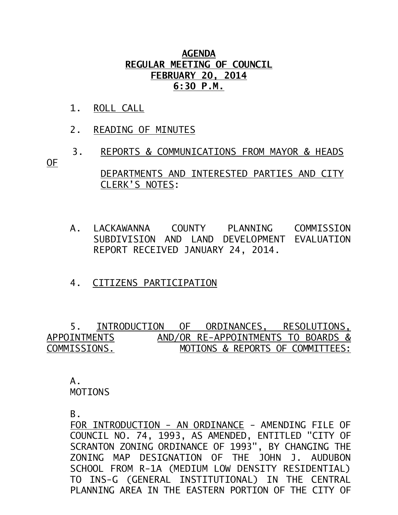## **AGENDA REGULAR MEETING OF COUNCIL FEBRUARY 20, 2014 6:30 P.M.**

- 1. ROLL CALL
- 2. READING OF MINUTES
- 3. REPORTS & COMMUNICATIONS FROM MAYOR & HEADS OF

 DEPARTMENTS AND INTERESTED PARTIES AND CITY CLERK'S NOTES:

- A. LACKAWANNA COUNTY PLANNING COMMISSION SUBDIVISION AND LAND DEVELOPMENT EVALUATION REPORT RECEIVED JANUARY 24, 2014.
- 4. CITIZENS PARTICIPATION

 5. INTRODUCTION OF ORDINANCES, RESOLUTIONS, APPOINTMENTS<br>
COMMISSIONS. AND/OR RE-APPOINTMENTS TO BOARDS &<br>
MOTIONS & REPORTS OF COMMITTEES: MOTIONS & REPORTS OF COMMITTEES:

 $A<sub>-</sub>$ 

MOTIONS

B.

FOR INTRODUCTION - AN ORDINANCE - AMENDING FILE OF COUNCIL NO. 74, 1993, AS AMENDED, ENTITLED "CITY OF SCRANTON ZONING ORDINANCE OF 1993", BY CHANGING THE ZONING MAP DESIGNATION OF THE JOHN J. AUDUBON SCHOOL FROM R-1A (MEDIUM LOW DENSITY RESIDENTIAL) TO INS-G (GENERAL INSTITUTIONAL) IN THE CENTRAL PLANNING AREA IN THE FASTERN PORTION OF THE CITY OF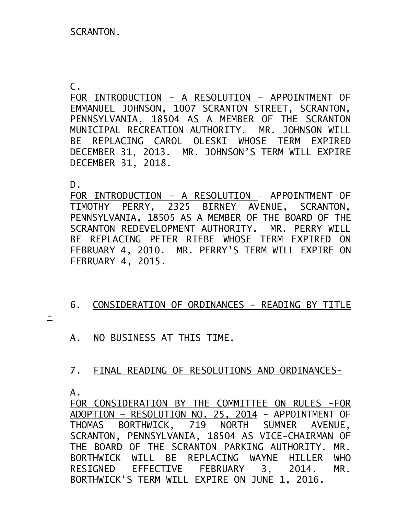C.

FOR INTRODUCTION - A RESOLUTION – APPOINTMENT OF EMMANUEL JOHNSON, 1007 SCRANTON STREET, SCRANTON, PENNSYLVANIA, 18504 AS A MEMBER OF THE SCRANTON MUNICIPAL RECREATION AUTHORITY. MR. JOHNSON WILL BE REPLACING CAROL OLESKI WHOSE TERM EXPIRED DECEMBER 31, 2013. MR. JOHNSON'S TERM WILL EXPIRE DECEMBER 31, 2018.

D.

FOR INTRODUCTION - A RESOLUTION – APPOINTMENT OF TIMOTHY PERRY, 2325 BIRNEY AVENUE, SCRANTON, PENNSYLVANIA, 18505 AS A MEMBER OF THE BOARD OF THE SCRANTON REDEVELOPMENT AUTHORITY. MR. PERRY WILL BE REPLACING PETER RIEBE WHOSE TERM EXPIRED ON FEBRUARY 4, 2010. MR. PERRY'S TERM WILL EXPIRE ON FEBRUARY 4, 2015.

## 6. CONSIDERATION OF ORDINANCES - READING BY TITLE

 $\equiv$ 

A. NO BUSINESS AT THIS TIME.

## 7. FINAL READING OF RESOLUTIONS AND ORDINANCES-

A.

FOR CONSIDERATION BY THE COMMITTEE ON RULES -FOR ADOPTION – RESOLUTION NO. 25, 2014 - APPOINTMENT OF THOMAS BORTHWICK, 719 NORTH SUMNER AVENUE, SCRANTON, PENNSYLVANIA, 18504 AS VICE-CHAIRMAN OF THE BOARD OF THE SCRANTON PARKING AUTHORITY. MR. BORTHWICK WILL BE REPLACING WAYNE HILLER WHO RESIGNED EFFECTIVE FEBRUARY 3, 2014. MR. BORTHWICK'S TERM WILL EXPIRE ON JUNE 1, 2016.